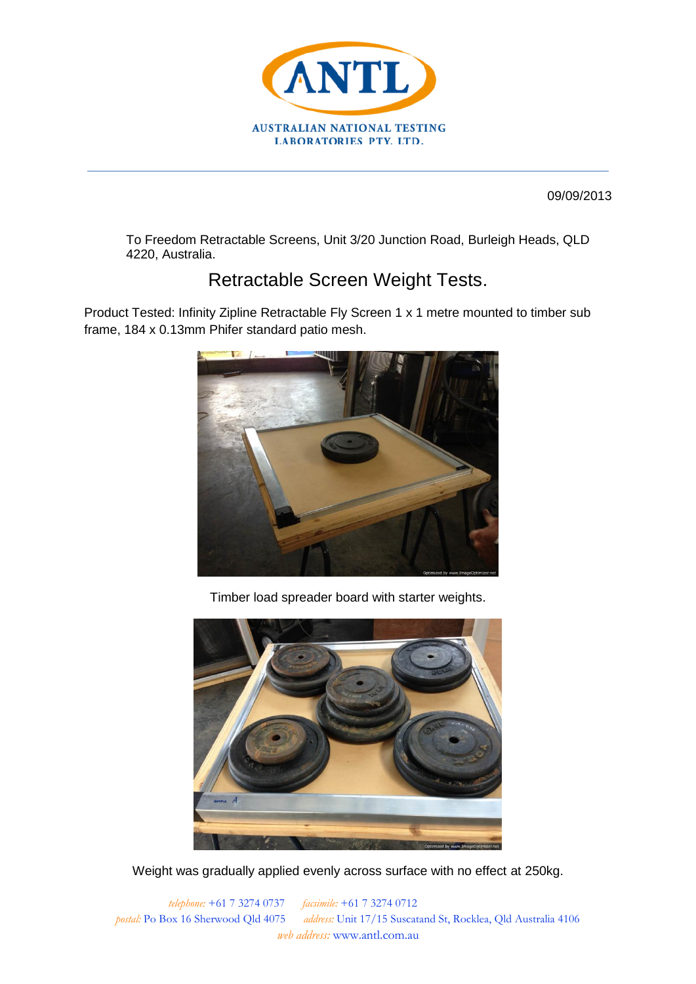

09/09/2013

To Freedom Retractable Screens, Unit 3/20 Junction Road, Burleigh Heads, QLD 4220, Australia.

## Retractable Screen Weight Tests.

Product Tested: Infinity Zipline Retractable Fly Screen 1 x 1 metre mounted to timber sub frame, 184 x 0.13mm Phifer standard patio mesh.



Timber load spreader board with starter weights.



Weight was gradually applied evenly across surface with no effect at 250kg.

*telephone:* +61 7 3274 0737 *facsimile:* +61 7 3274 0712 *postal:* Po Box 16 Sherwood Qld 4075 *address:* Unit 17/15 Suscatand St, Rocklea, Qld Australia 4106 *web address:* www.antl.com.au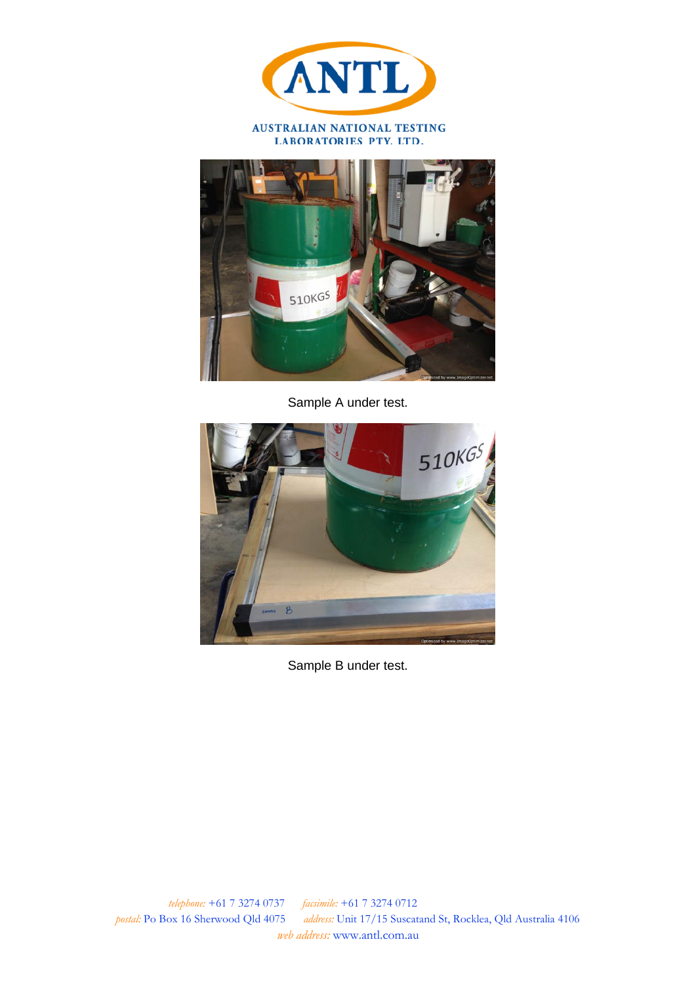

LABORATORIES PTY. LTD.



Sample A under test.



Sample B under test.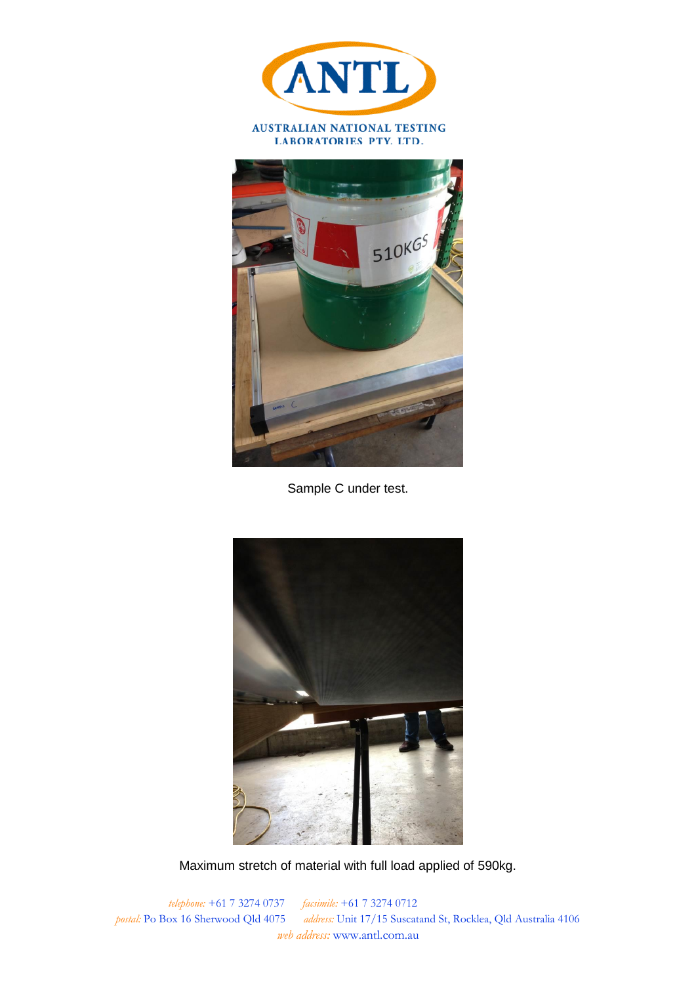

LABORATORIES PTY. LTD.



Sample C under test.



Maximum stretch of material with full load applied of 590kg.

*telephone:* +61 7 3274 0737 *facsimile:* +61 7 3274 0712 *postal:* Po Box 16 Sherwood Qld 4075 *address:* Unit 17/15 Suscatand St, Rocklea, Qld Australia 4106 *web address:* www.antl.com.au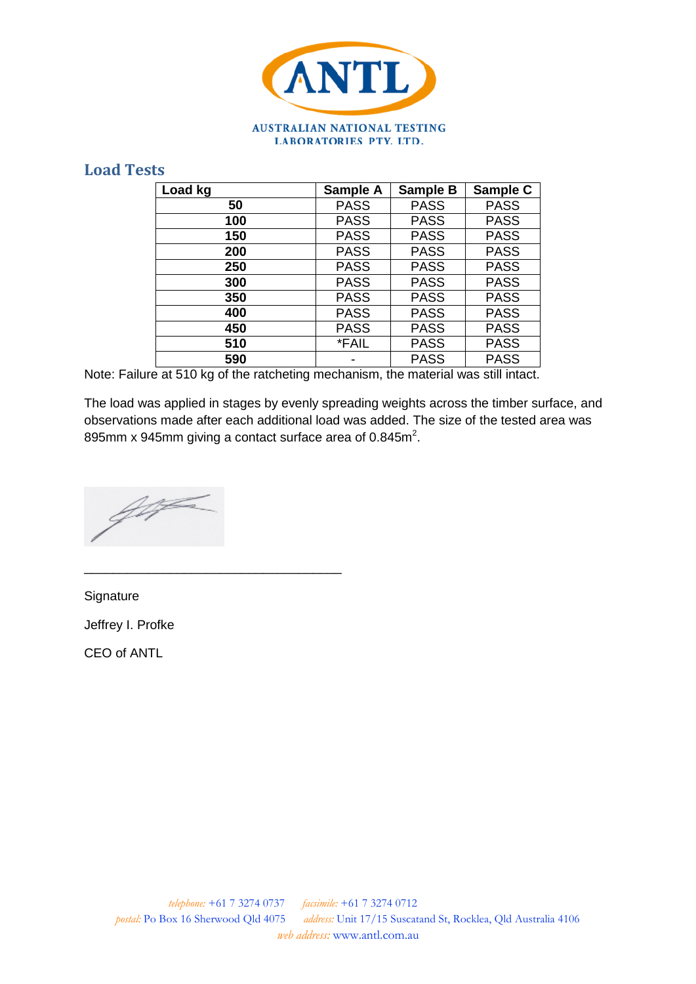

## **Load Tests**

| Load kg | Sample A    | <b>Sample B</b> | Sample C    |
|---------|-------------|-----------------|-------------|
| 50      | <b>PASS</b> | <b>PASS</b>     | <b>PASS</b> |
| 100     | <b>PASS</b> | <b>PASS</b>     | <b>PASS</b> |
| 150     | <b>PASS</b> | <b>PASS</b>     | <b>PASS</b> |
| 200     | <b>PASS</b> | <b>PASS</b>     | <b>PASS</b> |
| 250     | <b>PASS</b> | <b>PASS</b>     | <b>PASS</b> |
| 300     | <b>PASS</b> | <b>PASS</b>     | <b>PASS</b> |
| 350     | <b>PASS</b> | <b>PASS</b>     | <b>PASS</b> |
| 400     | <b>PASS</b> | <b>PASS</b>     | <b>PASS</b> |
| 450     | <b>PASS</b> | <b>PASS</b>     | <b>PASS</b> |
| 510     | *FAIL       | <b>PASS</b>     | <b>PASS</b> |
| 590     |             | <b>PASS</b>     | <b>PASS</b> |

Note: Failure at 510 kg of the ratcheting mechanism, the material was still intact.

The load was applied in stages by evenly spreading weights across the timber surface, and observations made after each additional load was added. The size of the tested area was 895mm x 945mm giving a contact surface area of  $0.845m^2$ .

for

\_\_\_\_\_\_\_\_\_\_\_\_\_\_\_\_\_\_\_\_\_\_\_\_\_\_\_\_\_\_\_\_\_\_\_\_

**Signature** Jeffrey I. Profke CEO of ANTL